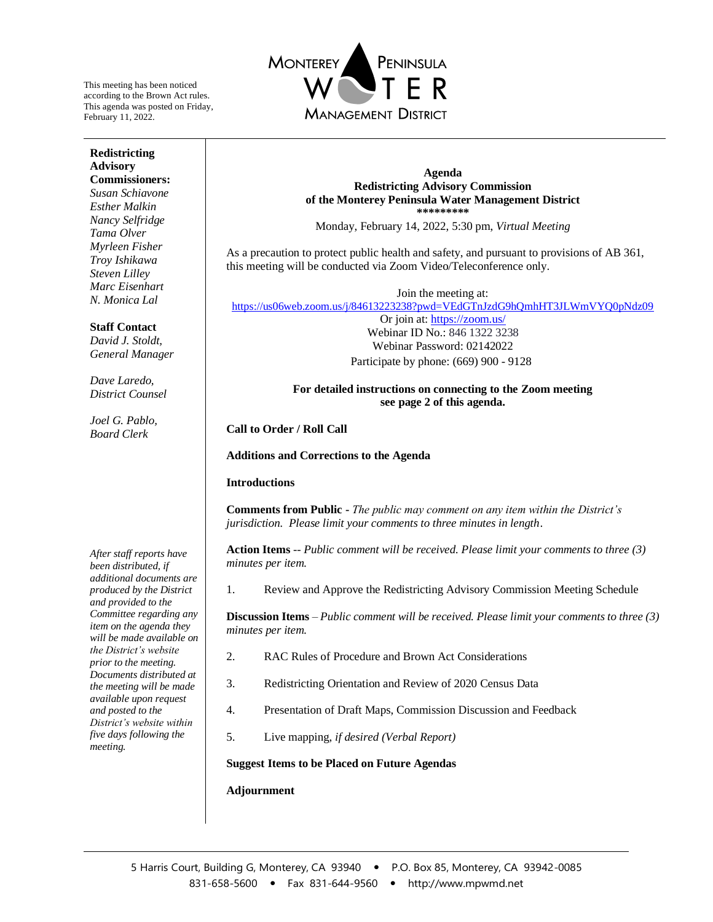This meeting has been noticed according to the Brown Act rules. This agenda was posted on Friday, February 11, 2022.

**Redistricting Advisory Commissioners:** *Susan Schiavone Esther Malkin Nancy Selfridge Tama Olver Myrleen Fisher Troy Ishikawa Steven Lilley Marc Eisenhart N. Monica Lal*

**Staff Contact** *David J. Stoldt, General Manager*

*Dave Laredo, District Counsel*

*Joel G. Pablo, Board Clerk*



#### **Agenda Redistricting Advisory Commission of the Monterey Peninsula Water Management District \*\*\*\*\*\*\*\*\***

Monday, February 14, 2022, 5:30 pm, *Virtual Meeting*

As a precaution to protect public health and safety, and pursuant to provisions of AB 361, this meeting will be conducted via Zoom Video/Teleconference only.

Join the meeting at: <https://us06web.zoom.us/j/84613223238?pwd=VEdGTnJzdG9hQmhHT3JLWmVYQ0pNdz09>

> Or join at:<https://zoom.us/> Webinar ID No.: 846 1322 3238 Webinar Password: 02142022 Participate by phone: (669) 900 - 9128

#### **For detailed instructions on connecting to the Zoom meeting see page 2 of this agenda.**

**Call to Order / Roll Call**

**Additions and Corrections to the Agenda**

### **Introductions**

**Comments from Public -** *The public may comment on any item within the District's jurisdiction. Please limit your comments to three minutes in length*.

**Action Items** -- *Public comment will be received. Please limit your comments to three (3) minutes per item.* 

1. Review and Approve the Redistricting Advisory Commission Meeting Schedule

**Discussion Items** – *Public comment will be received. Please limit your comments to three (3) minutes per item.* 

- 2. RAC Rules of Procedure and Brown Act Considerations
- 3. Redistricting Orientation and Review of 2020 Census Data
- 4. Presentation of Draft Maps, Commission Discussion and Feedback
- 5. Live mapping, *if desired (Verbal Report)*

**Suggest Items to be Placed on Future Agendas** 

### **Adjournment**

*After staff reports have been distributed, if additional documents are produced by the District and provided to the Committee regarding any item on the agenda they will be made available on the District's website prior to the meeting. Documents distributed at the meeting will be made available upon request and posted to the District's website within five days following the meeting.*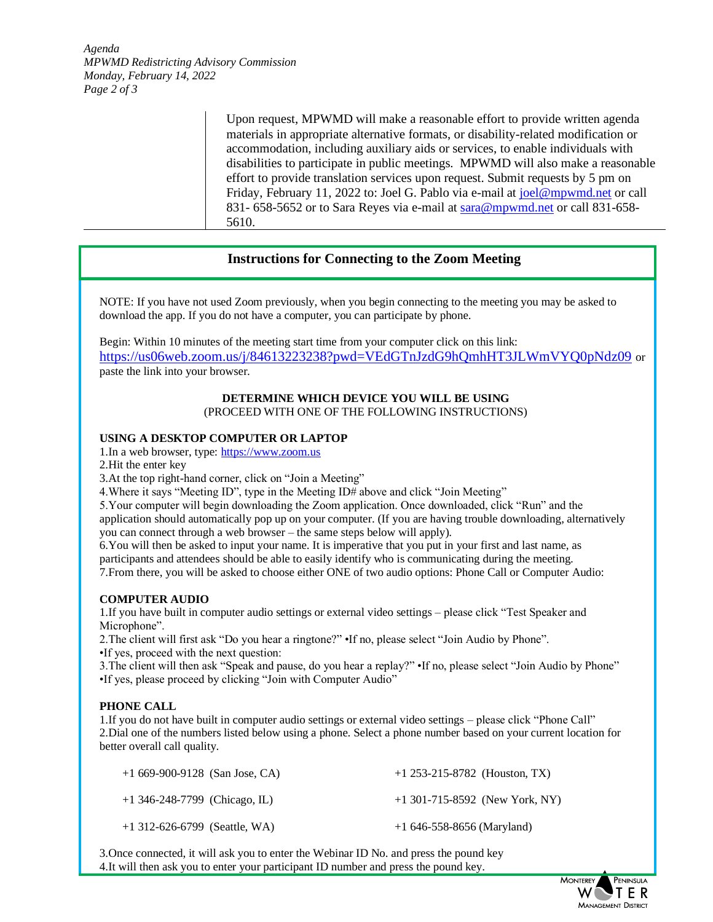*Agenda MPWMD Redistricting Advisory Commission Monday, February 14, 2022 Page 2 of 3*

> Upon request, MPWMD will make a reasonable effort to provide written agenda materials in appropriate alternative formats, or disability-related modification or accommodation, including auxiliary aids or services, to enable individuals with disabilities to participate in public meetings. MPWMD will also make a reasonable effort to provide translation services upon request. Submit requests by 5 pm on Friday, February 11, 2022 to: Joel G. Pablo via e-mail at [joel@mpwmd.net](mailto:joel@mpwmd.net) or call 831- 658-5652 or to Sara Reyes via e-mail at [sara@mpwmd.net](mailto:sara@mpwmd.net) or call 831-658- 5610.

# **Instructions for Connecting to the Zoom Meeting**

NOTE: If you have not used Zoom previously, when you begin connecting to the meeting you may be asked to download the app. If you do not have a computer, you can participate by phone.

Begin: Within 10 minutes of the meeting start time from your computer click on this link: <https://us06web.zoom.us/j/84613223238?pwd=VEdGTnJzdG9hQmhHT3JLWmVYQ0pNdz09> or paste the link into your browser.

#### **DETERMINE WHICH DEVICE YOU WILL BE USING** (PROCEED WITH ONE OF THE FOLLOWING INSTRUCTIONS)

### **USING A DESKTOP COMPUTER OR LAPTOP**

1.In a web browser, type[: https://www.zoom.us](https://www.zoom.us/) 

2.Hit the enter key

3.At the top right-hand corner, click on "Join a Meeting"

4.Where it says "Meeting ID", type in the Meeting ID# above and click "Join Meeting"

5.Your computer will begin downloading the Zoom application. Once downloaded, click "Run" and the application should automatically pop up on your computer. (If you are having trouble downloading, alternatively you can connect through a web browser – the same steps below will apply).

6.You will then be asked to input your name. It is imperative that you put in your first and last name, as participants and attendees should be able to easily identify who is communicating during the meeting.

7.From there, you will be asked to choose either ONE of two audio options: Phone Call or Computer Audio:

### **COMPUTER AUDIO**

1.If you have built in computer audio settings or external video settings – please click "Test Speaker and Microphone".

2.The client will first ask "Do you hear a ringtone?" •If no, please select "Join Audio by Phone". •If yes, proceed with the next question:

3.The client will then ask "Speak and pause, do you hear a replay?" •If no, please select "Join Audio by Phone" •If yes, please proceed by clicking "Join with Computer Audio"

### **PHONE CALL**

1.If you do not have built in computer audio settings or external video settings – please click "Phone Call" 2.Dial one of the numbers listed below using a phone. Select a phone number based on your current location for better overall call quality.

| $+1669-900-9128$ (San Jose, CA) | $+1$ 253-215-8782 (Houston, TX)  |
|---------------------------------|----------------------------------|
| $+1$ 346-248-7799 (Chicago, IL) | $+1$ 301-715-8592 (New York, NY) |
| $+1$ 312-626-6799 (Seattle, WA) | $+1$ 646-558-8656 (Maryland)     |

3.Once connected, it will ask you to enter the Webinar ID No. and press the pound key 4.It will then ask you to enter your participant ID number and press the pound key.